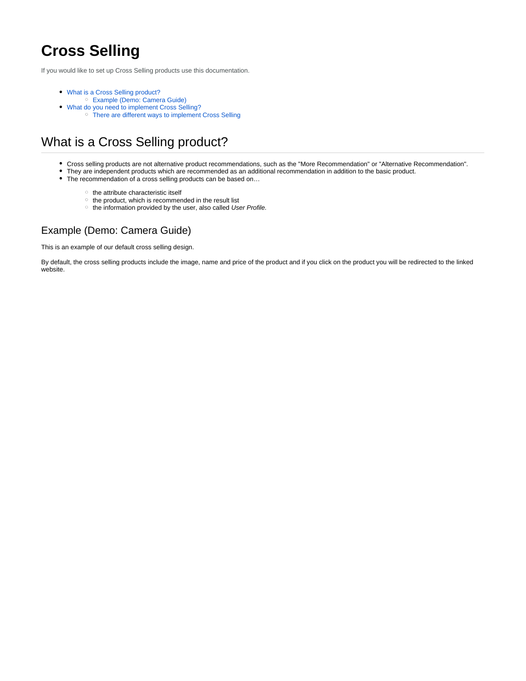# **Cross Selling**

If you would like to set up Cross Selling products use this documentation.

- [What is a Cross Selling product?](#page-0-0)
	- [Example \(Demo: Camera Guide\)](#page-0-1)
	- [What do you need to implement Cross Selling?](#page-1-0) [There are different ways to implement Cross Selling](#page-1-1)

# <span id="page-0-0"></span>What is a Cross Selling product?

- Cross selling products are not alternative product recommendations, such as the "More Recommendation" or "Alternative Recommendation".
- They are independent products which are recommended as an additional recommendation in addition to the basic product.
- The recommendation of a cross selling products can be based on...
	- $\circ$  the attribute characteristic itself
	- $\circ$  the product, which is recommended in the result list
	- the information provided by the user, also called User Profile.

### <span id="page-0-1"></span>Example (Demo: Camera Guide)

This is an example of our default cross selling design.

By default, the cross selling products include the image, name and price of the product and if you click on the product you will be redirected to the linked website.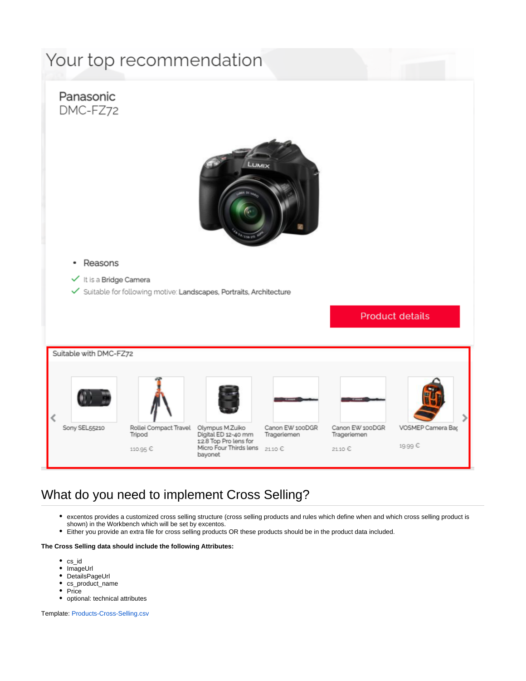# Your top recommendation



## <span id="page-1-0"></span>What do you need to implement Cross Selling?

- excentos provides a customized cross selling structure (cross selling products and rules which define when and which cross selling product is shown) in the Workbench which will be set by excentos.
- Either you provide an extra file for cross selling products OR these products should be in the product data included.

#### **The Cross Selling data should include the following Attributes:**

- $\bullet$  cs\_id
- ImageUrl
- DetailsPageUrl
- cs\_product\_name • Price
- 
- optional: technical attributes

<span id="page-1-1"></span>Template: [Products-Cross-Selling.csv](https://documentation.excentos.com/download/attachments/1934427/Products-Cross-Selling.csv?version=2&modificationDate=1628509043434&api=v2)